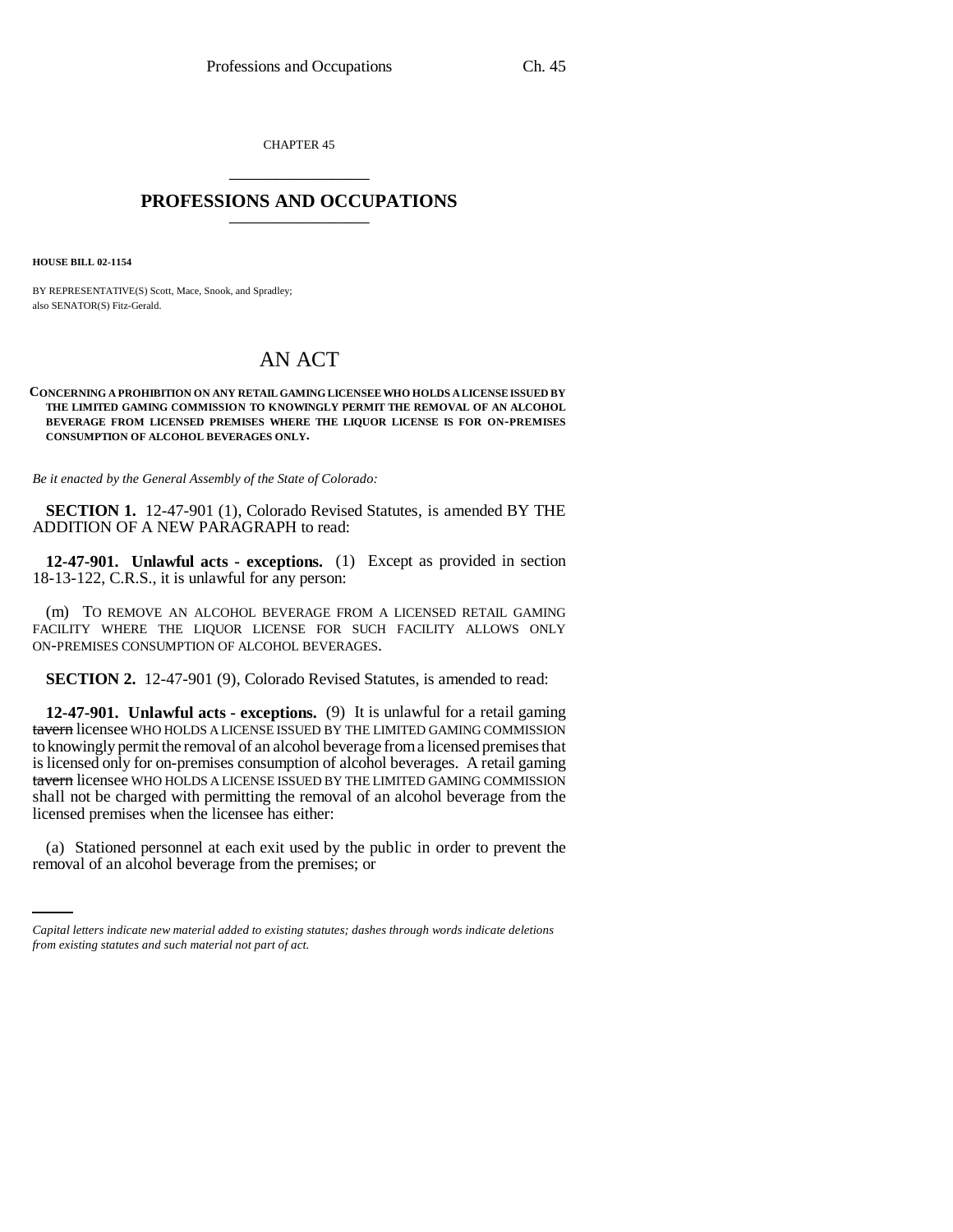CHAPTER 45 \_\_\_\_\_\_\_\_\_\_\_\_\_\_\_

## **PROFESSIONS AND OCCUPATIONS** \_\_\_\_\_\_\_\_\_\_\_\_\_\_\_

**HOUSE BILL 02-1154**

BY REPRESENTATIVE(S) Scott, Mace, Snook, and Spradley; also SENATOR(S) Fitz-Gerald.

## AN ACT

**CONCERNING A PROHIBITION ON ANY RETAIL GAMING LICENSEE WHO HOLDS A LICENSE ISSUED BY THE LIMITED GAMING COMMISSION TO KNOWINGLY PERMIT THE REMOVAL OF AN ALCOHOL BEVERAGE FROM LICENSED PREMISES WHERE THE LIQUOR LICENSE IS FOR ON-PREMISES CONSUMPTION OF ALCOHOL BEVERAGES ONLY.**

*Be it enacted by the General Assembly of the State of Colorado:*

**SECTION 1.** 12-47-901 (1), Colorado Revised Statutes, is amended BY THE ADDITION OF A NEW PARAGRAPH to read:

**12-47-901. Unlawful acts - exceptions.** (1) Except as provided in section 18-13-122, C.R.S., it is unlawful for any person:

(m) TO REMOVE AN ALCOHOL BEVERAGE FROM A LICENSED RETAIL GAMING FACILITY WHERE THE LIQUOR LICENSE FOR SUCH FACILITY ALLOWS ONLY ON-PREMISES CONSUMPTION OF ALCOHOL BEVERAGES.

**SECTION 2.** 12-47-901 (9), Colorado Revised Statutes, is amended to read:

**12-47-901. Unlawful acts - exceptions.** (9) It is unlawful for a retail gaming tavern licensee WHO HOLDS A LICENSE ISSUED BY THE LIMITED GAMING COMMISSION to knowingly permit the removal of an alcohol beverage from a licensed premises that is licensed only for on-premises consumption of alcohol beverages. A retail gaming tavern licensee WHO HOLDS A LICENSE ISSUED BY THE LIMITED GAMING COMMISSION shall not be charged with permitting the removal of an alcohol beverage from the licensed premises when the licensee has either:

(a) Stationed personnel at each exit used by the public in order to prevent the removal of an alcohol beverage from the premises; or

*Capital letters indicate new material added to existing statutes; dashes through words indicate deletions from existing statutes and such material not part of act.*